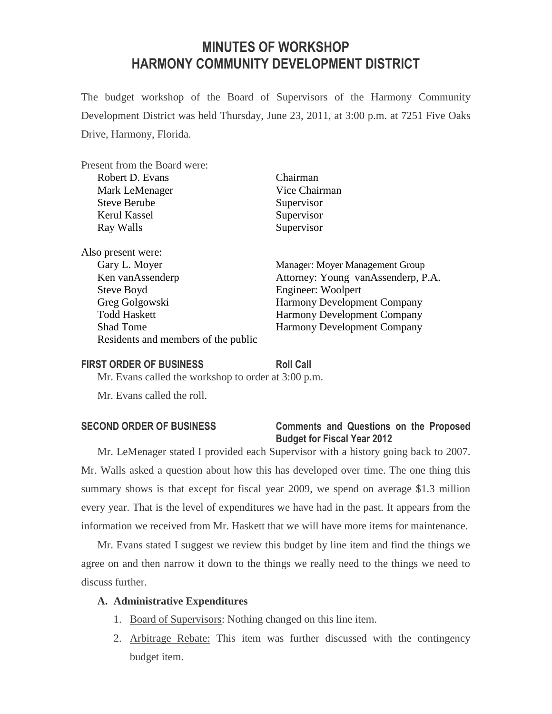# **MINUTES OF WORKSHOP HARMONY COMMUNITY DEVELOPMENT DISTRICT**

The budget workshop of the Board of Supervisors of the Harmony Community Development District was held Thursday, June 23, 2011, at 3:00 p.m. at 7251 Five Oaks Drive, Harmony, Florida.

| Present from the Board were:        |                                    |
|-------------------------------------|------------------------------------|
| Robert D. Evans                     | Chairman                           |
| Mark LeMenager                      | Vice Chairman                      |
| <b>Steve Berube</b>                 | Supervisor                         |
| Kerul Kassel                        | Supervisor                         |
| Ray Walls                           | Supervisor                         |
| Also present were:                  |                                    |
| Gary L. Moyer                       | Manager: Moyer Management Group    |
| Ken van Assenderp                   | Attorney: Young vanAssenderp, P.A. |
| Steve Boyd                          | Engineer: Woolpert                 |
| Greg Golgowski                      | <b>Harmony Development Company</b> |
| <b>Todd Haskett</b>                 | <b>Harmony Development Company</b> |
| <b>Shad Tome</b>                    | <b>Harmony Development Company</b> |
| Residents and members of the public |                                    |

#### **FIRST ORDER OF BUSINESS Roll Call**

Mr. Evans called the workshop to order at 3:00 p.m.

Mr. Evans called the roll.

### **SECOND ORDER OF BUSINESS Comments and Questions on the Proposed Budget for Fiscal Year 2012**

Mr. LeMenager stated I provided each Supervisor with a history going back to 2007. Mr. Walls asked a question about how this has developed over time. The one thing this summary shows is that except for fiscal year 2009, we spend on average \$1.3 million every year. That is the level of expenditures we have had in the past. It appears from the information we received from Mr. Haskett that we will have more items for maintenance.

Mr. Evans stated I suggest we review this budget by line item and find the things we agree on and then narrow it down to the things we really need to the things we need to discuss further.

#### **A. Administrative Expenditures**

- 1. Board of Supervisors: Nothing changed on this line item.
- 2. Arbitrage Rebate: This item was further discussed with the contingency budget item.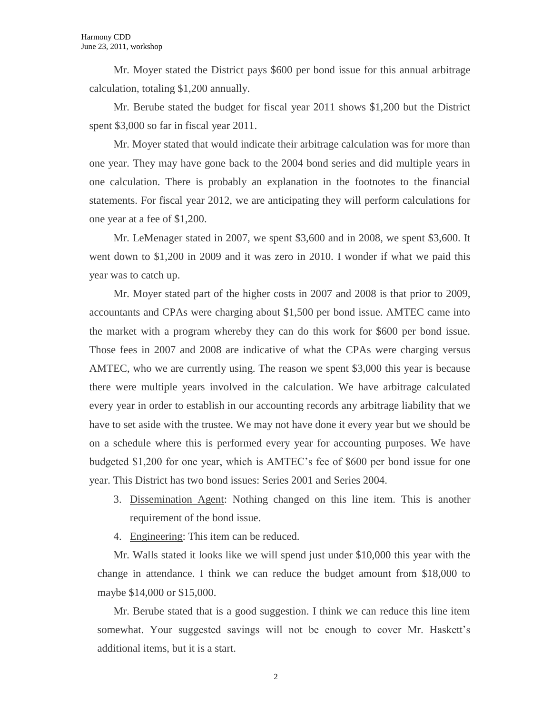Mr. Moyer stated the District pays \$600 per bond issue for this annual arbitrage calculation, totaling \$1,200 annually.

Mr. Berube stated the budget for fiscal year 2011 shows \$1,200 but the District spent \$3,000 so far in fiscal year 2011.

Mr. Moyer stated that would indicate their arbitrage calculation was for more than one year. They may have gone back to the 2004 bond series and did multiple years in one calculation. There is probably an explanation in the footnotes to the financial statements. For fiscal year 2012, we are anticipating they will perform calculations for one year at a fee of \$1,200.

Mr. LeMenager stated in 2007, we spent \$3,600 and in 2008, we spent \$3,600. It went down to \$1,200 in 2009 and it was zero in 2010. I wonder if what we paid this year was to catch up.

Mr. Moyer stated part of the higher costs in 2007 and 2008 is that prior to 2009, accountants and CPAs were charging about \$1,500 per bond issue. AMTEC came into the market with a program whereby they can do this work for \$600 per bond issue. Those fees in 2007 and 2008 are indicative of what the CPAs were charging versus AMTEC, who we are currently using. The reason we spent \$3,000 this year is because there were multiple years involved in the calculation. We have arbitrage calculated every year in order to establish in our accounting records any arbitrage liability that we have to set aside with the trustee. We may not have done it every year but we should be on a schedule where this is performed every year for accounting purposes. We have budgeted \$1,200 for one year, which is AMTEC's fee of \$600 per bond issue for one year. This District has two bond issues: Series 2001 and Series 2004.

3. Dissemination Agent: Nothing changed on this line item. This is another requirement of the bond issue.

4. Engineering: This item can be reduced.

Mr. Walls stated it looks like we will spend just under \$10,000 this year with the change in attendance. I think we can reduce the budget amount from \$18,000 to maybe \$14,000 or \$15,000.

Mr. Berube stated that is a good suggestion. I think we can reduce this line item somewhat. Your suggested savings will not be enough to cover Mr. Haskett's additional items, but it is a start.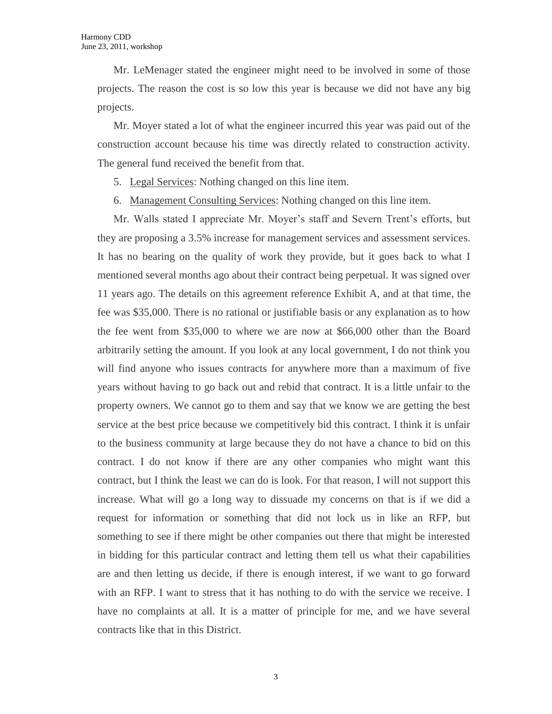Mr. LeMenager stated the engineer might need to be involved in some of those projects. The reason the cost is so low this year is because we did not have any big projects.

Mr. Moyer stated a lot of what the engineer incurred this year was paid out of the construction account because his time was directly related to construction activity. The general fund received the benefit from that.

- 5. Legal Services: Nothing changed on this line item.
- 6. Management Consulting Services: Nothing changed on this line item.

Mr. Walls stated I appreciate Mr. Moyer's staff and Severn Trent's efforts, but they are proposing a 3.5% increase for management services and assessment services. It has no bearing on the quality of work they provide, but it goes back to what I mentioned several months ago about their contract being perpetual. It was signed over 11 years ago. The details on this agreement reference Exhibit A, and at that time, the fee was \$35,000. There is no rational or justifiable basis or any explanation as to how the fee went from \$35,000 to where we are now at \$66,000 other than the Board arbitrarily setting the amount. If you look at any local government, I do not think you will find anyone who issues contracts for anywhere more than a maximum of five years without having to go back out and rebid that contract. It is a little unfair to the property owners. We cannot go to them and say that we know we are getting the best service at the best price because we competitively bid this contract. I think it is unfair to the business community at large because they do not have a chance to bid on this contract. I do not know if there are any other companies who might want this contract, but I think the least we can do is look. For that reason, I will not support this increase. What will go a long way to dissuade my concerns on that is if we did a request for information or something that did not lock us in like an RFP, but something to see if there might be other companies out there that might be interested in bidding for this particular contract and letting them tell us what their capabilities are and then letting us decide, if there is enough interest, if we want to go forward with an RFP. I want to stress that it has nothing to do with the service we receive. I have no complaints at all. It is a matter of principle for me, and we have several contracts like that in this District.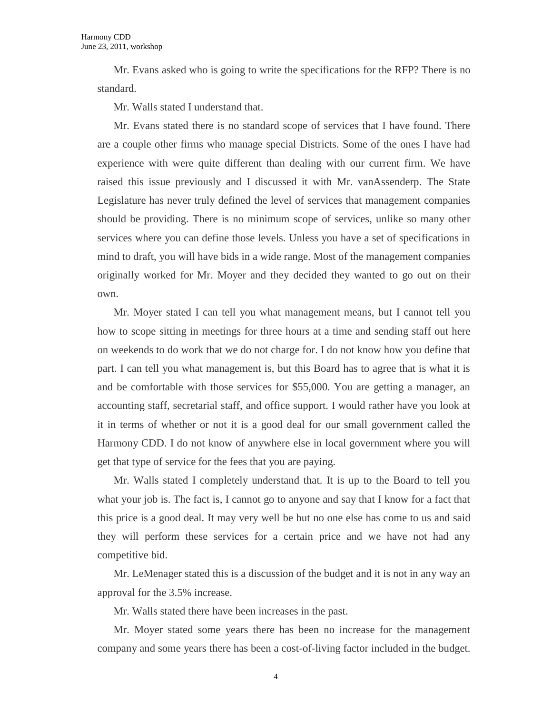Mr. Evans asked who is going to write the specifications for the RFP? There is no standard.

Mr. Walls stated I understand that.

Mr. Evans stated there is no standard scope of services that I have found. There are a couple other firms who manage special Districts. Some of the ones I have had experience with were quite different than dealing with our current firm. We have raised this issue previously and I discussed it with Mr. vanAssenderp. The State Legislature has never truly defined the level of services that management companies should be providing. There is no minimum scope of services, unlike so many other services where you can define those levels. Unless you have a set of specifications in mind to draft, you will have bids in a wide range. Most of the management companies originally worked for Mr. Moyer and they decided they wanted to go out on their own.

Mr. Moyer stated I can tell you what management means, but I cannot tell you how to scope sitting in meetings for three hours at a time and sending staff out here on weekends to do work that we do not charge for. I do not know how you define that part. I can tell you what management is, but this Board has to agree that is what it is and be comfortable with those services for \$55,000. You are getting a manager, an accounting staff, secretarial staff, and office support. I would rather have you look at it in terms of whether or not it is a good deal for our small government called the Harmony CDD. I do not know of anywhere else in local government where you will get that type of service for the fees that you are paying.

Mr. Walls stated I completely understand that. It is up to the Board to tell you what your job is. The fact is, I cannot go to anyone and say that I know for a fact that this price is a good deal. It may very well be but no one else has come to us and said they will perform these services for a certain price and we have not had any competitive bid.

Mr. LeMenager stated this is a discussion of the budget and it is not in any way an approval for the 3.5% increase.

Mr. Walls stated there have been increases in the past.

Mr. Moyer stated some years there has been no increase for the management company and some years there has been a cost-of-living factor included in the budget.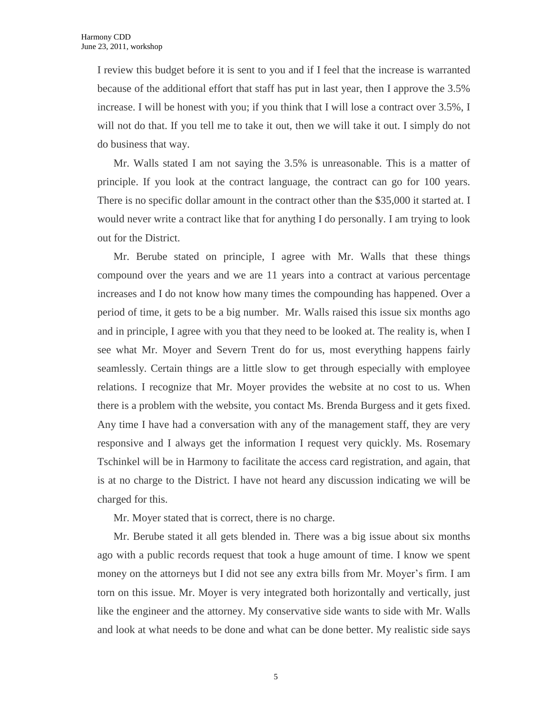I review this budget before it is sent to you and if I feel that the increase is warranted because of the additional effort that staff has put in last year, then I approve the 3.5% increase. I will be honest with you; if you think that I will lose a contract over 3.5%, I will not do that. If you tell me to take it out, then we will take it out. I simply do not do business that way.

Mr. Walls stated I am not saying the 3.5% is unreasonable. This is a matter of principle. If you look at the contract language, the contract can go for 100 years. There is no specific dollar amount in the contract other than the \$35,000 it started at. I would never write a contract like that for anything I do personally. I am trying to look out for the District.

Mr. Berube stated on principle, I agree with Mr. Walls that these things compound over the years and we are 11 years into a contract at various percentage increases and I do not know how many times the compounding has happened. Over a period of time, it gets to be a big number. Mr. Walls raised this issue six months ago and in principle, I agree with you that they need to be looked at. The reality is, when I see what Mr. Moyer and Severn Trent do for us, most everything happens fairly seamlessly. Certain things are a little slow to get through especially with employee relations. I recognize that Mr. Moyer provides the website at no cost to us. When there is a problem with the website, you contact Ms. Brenda Burgess and it gets fixed. Any time I have had a conversation with any of the management staff, they are very responsive and I always get the information I request very quickly. Ms. Rosemary Tschinkel will be in Harmony to facilitate the access card registration, and again, that is at no charge to the District. I have not heard any discussion indicating we will be charged for this.

Mr. Moyer stated that is correct, there is no charge.

Mr. Berube stated it all gets blended in. There was a big issue about six months ago with a public records request that took a huge amount of time. I know we spent money on the attorneys but I did not see any extra bills from Mr. Moyer's firm. I am torn on this issue. Mr. Moyer is very integrated both horizontally and vertically, just like the engineer and the attorney. My conservative side wants to side with Mr. Walls and look at what needs to be done and what can be done better. My realistic side says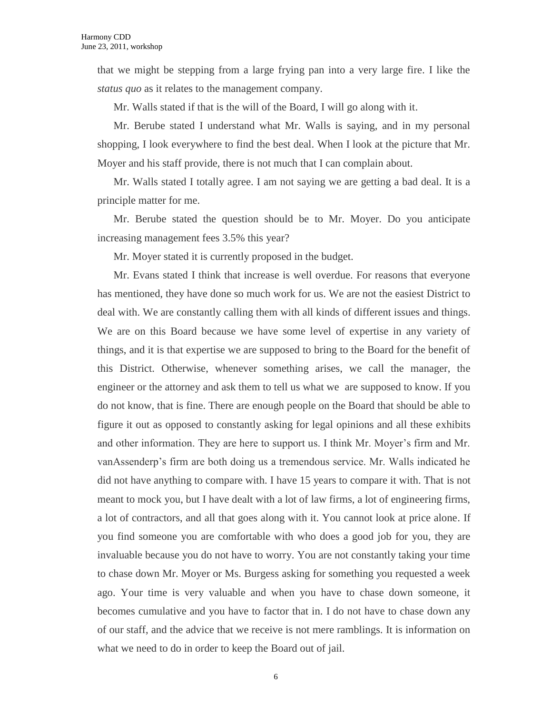that we might be stepping from a large frying pan into a very large fire. I like the *status quo* as it relates to the management company.

Mr. Walls stated if that is the will of the Board, I will go along with it.

Mr. Berube stated I understand what Mr. Walls is saying, and in my personal shopping, I look everywhere to find the best deal. When I look at the picture that Mr. Moyer and his staff provide, there is not much that I can complain about.

Mr. Walls stated I totally agree. I am not saying we are getting a bad deal. It is a principle matter for me.

Mr. Berube stated the question should be to Mr. Moyer. Do you anticipate increasing management fees 3.5% this year?

Mr. Moyer stated it is currently proposed in the budget.

Mr. Evans stated I think that increase is well overdue. For reasons that everyone has mentioned, they have done so much work for us. We are not the easiest District to deal with. We are constantly calling them with all kinds of different issues and things. We are on this Board because we have some level of expertise in any variety of things, and it is that expertise we are supposed to bring to the Board for the benefit of this District. Otherwise, whenever something arises, we call the manager, the engineer or the attorney and ask them to tell us what we are supposed to know. If you do not know, that is fine. There are enough people on the Board that should be able to figure it out as opposed to constantly asking for legal opinions and all these exhibits and other information. They are here to support us. I think Mr. Moyer's firm and Mr. vanAssenderp's firm are both doing us a tremendous service. Mr. Walls indicated he did not have anything to compare with. I have 15 years to compare it with. That is not meant to mock you, but I have dealt with a lot of law firms, a lot of engineering firms, a lot of contractors, and all that goes along with it. You cannot look at price alone. If you find someone you are comfortable with who does a good job for you, they are invaluable because you do not have to worry. You are not constantly taking your time to chase down Mr. Moyer or Ms. Burgess asking for something you requested a week ago. Your time is very valuable and when you have to chase down someone, it becomes cumulative and you have to factor that in. I do not have to chase down any of our staff, and the advice that we receive is not mere ramblings. It is information on what we need to do in order to keep the Board out of jail.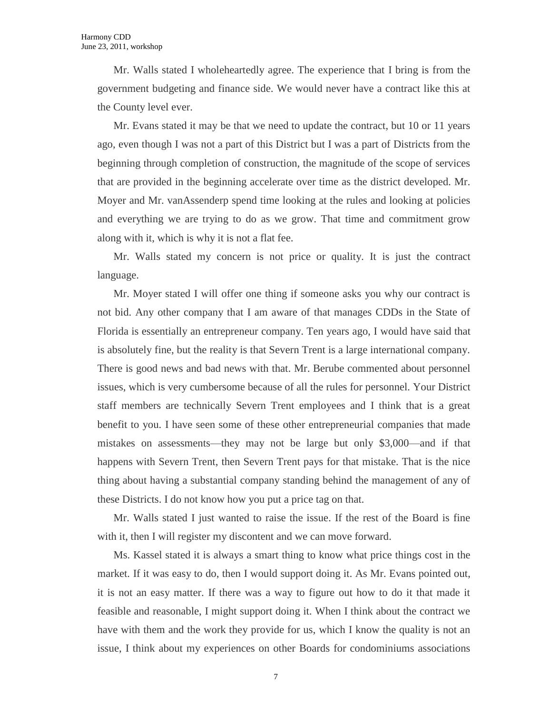Mr. Walls stated I wholeheartedly agree. The experience that I bring is from the government budgeting and finance side. We would never have a contract like this at the County level ever.

Mr. Evans stated it may be that we need to update the contract, but 10 or 11 years ago, even though I was not a part of this District but I was a part of Districts from the beginning through completion of construction, the magnitude of the scope of services that are provided in the beginning accelerate over time as the district developed. Mr. Moyer and Mr. vanAssenderp spend time looking at the rules and looking at policies and everything we are trying to do as we grow. That time and commitment grow along with it, which is why it is not a flat fee.

Mr. Walls stated my concern is not price or quality. It is just the contract language.

Mr. Moyer stated I will offer one thing if someone asks you why our contract is not bid. Any other company that I am aware of that manages CDDs in the State of Florida is essentially an entrepreneur company. Ten years ago, I would have said that is absolutely fine, but the reality is that Severn Trent is a large international company. There is good news and bad news with that. Mr. Berube commented about personnel issues, which is very cumbersome because of all the rules for personnel. Your District staff members are technically Severn Trent employees and I think that is a great benefit to you. I have seen some of these other entrepreneurial companies that made mistakes on assessments—they may not be large but only \$3,000—and if that happens with Severn Trent, then Severn Trent pays for that mistake. That is the nice thing about having a substantial company standing behind the management of any of these Districts. I do not know how you put a price tag on that.

Mr. Walls stated I just wanted to raise the issue. If the rest of the Board is fine with it, then I will register my discontent and we can move forward.

Ms. Kassel stated it is always a smart thing to know what price things cost in the market. If it was easy to do, then I would support doing it. As Mr. Evans pointed out, it is not an easy matter. If there was a way to figure out how to do it that made it feasible and reasonable, I might support doing it. When I think about the contract we have with them and the work they provide for us, which I know the quality is not an issue, I think about my experiences on other Boards for condominiums associations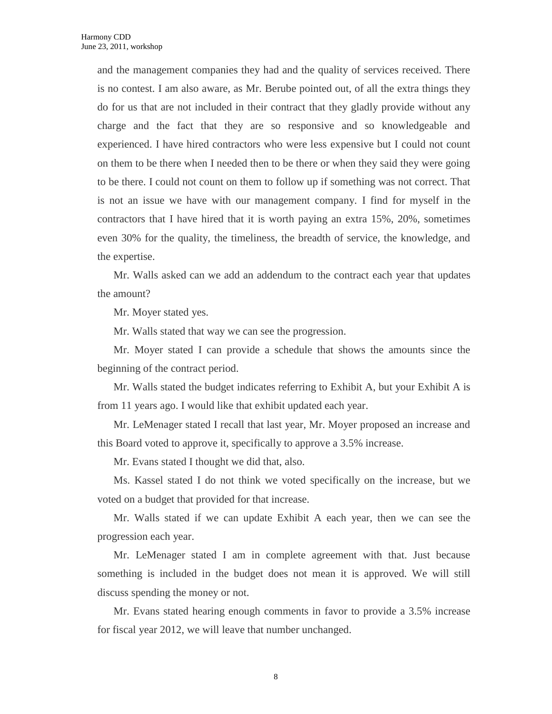and the management companies they had and the quality of services received. There is no contest. I am also aware, as Mr. Berube pointed out, of all the extra things they do for us that are not included in their contract that they gladly provide without any charge and the fact that they are so responsive and so knowledgeable and experienced. I have hired contractors who were less expensive but I could not count on them to be there when I needed then to be there or when they said they were going to be there. I could not count on them to follow up if something was not correct. That is not an issue we have with our management company. I find for myself in the contractors that I have hired that it is worth paying an extra 15%, 20%, sometimes even 30% for the quality, the timeliness, the breadth of service, the knowledge, and the expertise.

Mr. Walls asked can we add an addendum to the contract each year that updates the amount?

Mr. Moyer stated yes.

Mr. Walls stated that way we can see the progression.

Mr. Moyer stated I can provide a schedule that shows the amounts since the beginning of the contract period.

Mr. Walls stated the budget indicates referring to Exhibit A, but your Exhibit A is from 11 years ago. I would like that exhibit updated each year.

Mr. LeMenager stated I recall that last year, Mr. Moyer proposed an increase and this Board voted to approve it, specifically to approve a 3.5% increase.

Mr. Evans stated I thought we did that, also.

Ms. Kassel stated I do not think we voted specifically on the increase, but we voted on a budget that provided for that increase.

Mr. Walls stated if we can update Exhibit A each year, then we can see the progression each year.

Mr. LeMenager stated I am in complete agreement with that. Just because something is included in the budget does not mean it is approved. We will still discuss spending the money or not.

Mr. Evans stated hearing enough comments in favor to provide a 3.5% increase for fiscal year 2012, we will leave that number unchanged.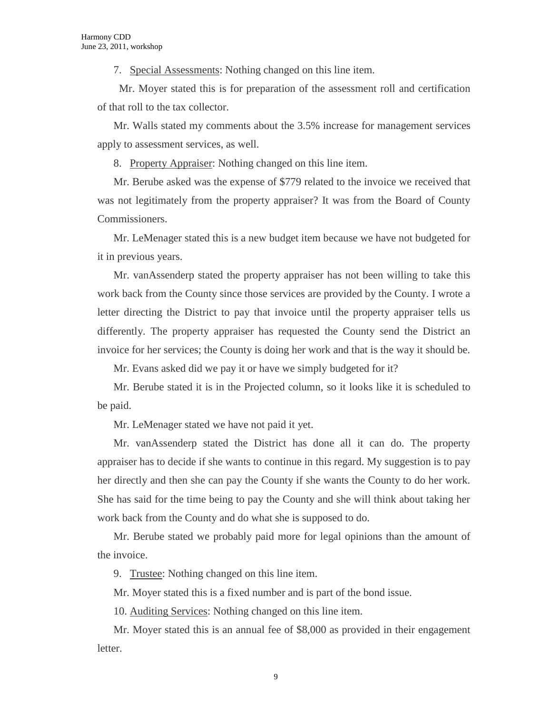7. Special Assessments: Nothing changed on this line item.

 Mr. Moyer stated this is for preparation of the assessment roll and certification of that roll to the tax collector.

Mr. Walls stated my comments about the 3.5% increase for management services apply to assessment services, as well.

8. Property Appraiser: Nothing changed on this line item.

Mr. Berube asked was the expense of \$779 related to the invoice we received that was not legitimately from the property appraiser? It was from the Board of County Commissioners.

Mr. LeMenager stated this is a new budget item because we have not budgeted for it in previous years.

Mr. vanAssenderp stated the property appraiser has not been willing to take this work back from the County since those services are provided by the County. I wrote a letter directing the District to pay that invoice until the property appraiser tells us differently. The property appraiser has requested the County send the District an invoice for her services; the County is doing her work and that is the way it should be.

Mr. Evans asked did we pay it or have we simply budgeted for it?

Mr. Berube stated it is in the Projected column, so it looks like it is scheduled to be paid.

Mr. LeMenager stated we have not paid it yet.

Mr. vanAssenderp stated the District has done all it can do. The property appraiser has to decide if she wants to continue in this regard. My suggestion is to pay her directly and then she can pay the County if she wants the County to do her work. She has said for the time being to pay the County and she will think about taking her work back from the County and do what she is supposed to do.

Mr. Berube stated we probably paid more for legal opinions than the amount of the invoice.

9. Trustee: Nothing changed on this line item.

Mr. Moyer stated this is a fixed number and is part of the bond issue.

10. Auditing Services: Nothing changed on this line item.

Mr. Moyer stated this is an annual fee of \$8,000 as provided in their engagement letter.

9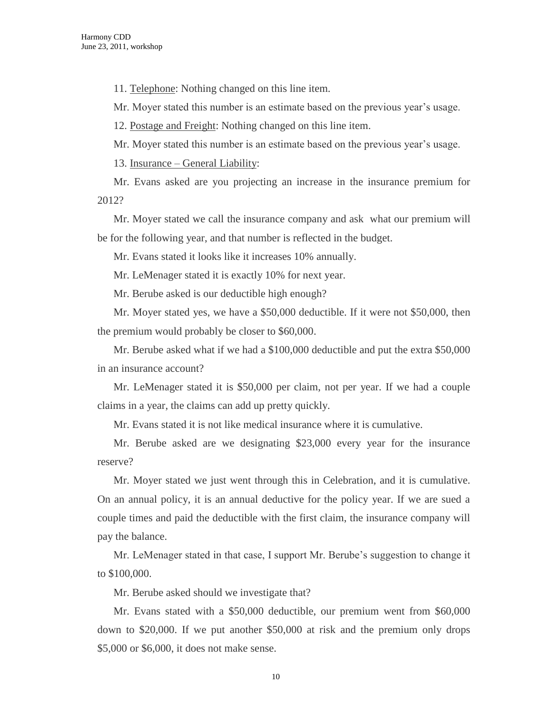11. Telephone: Nothing changed on this line item.

Mr. Moyer stated this number is an estimate based on the previous year's usage.

12. Postage and Freight: Nothing changed on this line item.

Mr. Moyer stated this number is an estimate based on the previous year's usage.

13. Insurance – General Liability:

Mr. Evans asked are you projecting an increase in the insurance premium for 2012?

Mr. Moyer stated we call the insurance company and ask what our premium will be for the following year, and that number is reflected in the budget.

Mr. Evans stated it looks like it increases 10% annually.

Mr. LeMenager stated it is exactly 10% for next year.

Mr. Berube asked is our deductible high enough?

Mr. Moyer stated yes, we have a \$50,000 deductible. If it were not \$50,000, then the premium would probably be closer to \$60,000.

Mr. Berube asked what if we had a \$100,000 deductible and put the extra \$50,000 in an insurance account?

Mr. LeMenager stated it is \$50,000 per claim, not per year. If we had a couple claims in a year, the claims can add up pretty quickly.

Mr. Evans stated it is not like medical insurance where it is cumulative.

Mr. Berube asked are we designating \$23,000 every year for the insurance reserve?

Mr. Moyer stated we just went through this in Celebration, and it is cumulative. On an annual policy, it is an annual deductive for the policy year. If we are sued a couple times and paid the deductible with the first claim, the insurance company will pay the balance.

Mr. LeMenager stated in that case, I support Mr. Berube's suggestion to change it to \$100,000.

Mr. Berube asked should we investigate that?

Mr. Evans stated with a \$50,000 deductible, our premium went from \$60,000 down to \$20,000. If we put another \$50,000 at risk and the premium only drops \$5,000 or \$6,000, it does not make sense.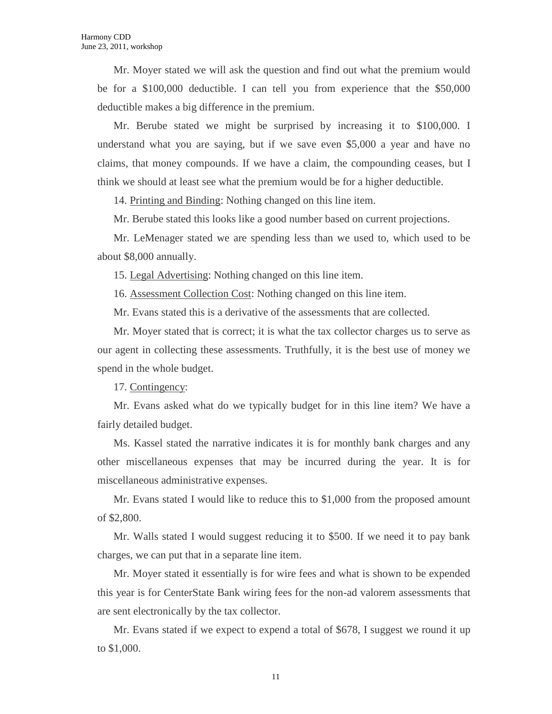Mr. Moyer stated we will ask the question and find out what the premium would be for a \$100,000 deductible. I can tell you from experience that the \$50,000 deductible makes a big difference in the premium.

Mr. Berube stated we might be surprised by increasing it to \$100,000. I understand what you are saying, but if we save even \$5,000 a year and have no claims, that money compounds. If we have a claim, the compounding ceases, but I think we should at least see what the premium would be for a higher deductible.

14. Printing and Binding: Nothing changed on this line item.

Mr. Berube stated this looks like a good number based on current projections.

Mr. LeMenager stated we are spending less than we used to, which used to be about \$8,000 annually.

15. Legal Advertising: Nothing changed on this line item.

16. Assessment Collection Cost: Nothing changed on this line item.

Mr. Evans stated this is a derivative of the assessments that are collected.

Mr. Moyer stated that is correct; it is what the tax collector charges us to serve as our agent in collecting these assessments. Truthfully, it is the best use of money we spend in the whole budget.

17. Contingency:

Mr. Evans asked what do we typically budget for in this line item? We have a fairly detailed budget.

Ms. Kassel stated the narrative indicates it is for monthly bank charges and any other miscellaneous expenses that may be incurred during the year. It is for miscellaneous administrative expenses.

Mr. Evans stated I would like to reduce this to \$1,000 from the proposed amount of \$2,800.

Mr. Walls stated I would suggest reducing it to \$500. If we need it to pay bank charges, we can put that in a separate line item.

Mr. Moyer stated it essentially is for wire fees and what is shown to be expended this year is for CenterState Bank wiring fees for the non-ad valorem assessments that are sent electronically by the tax collector.

Mr. Evans stated if we expect to expend a total of \$678, I suggest we round it up to \$1,000.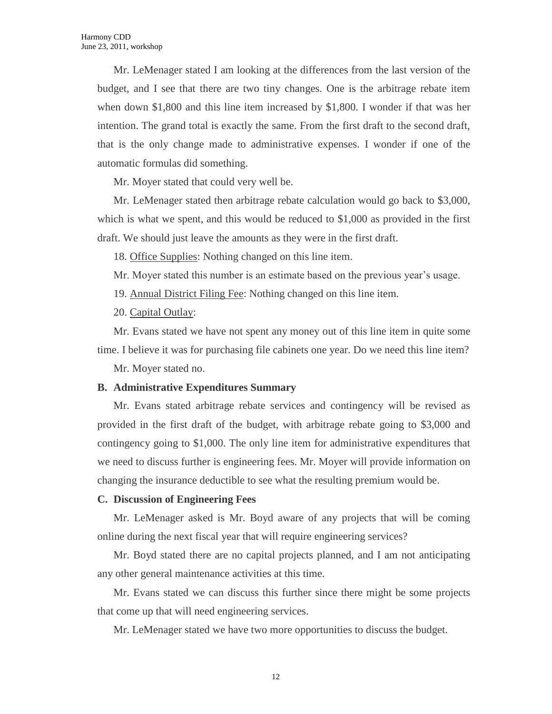Mr. LeMenager stated I am looking at the differences from the last version of the budget, and I see that there are two tiny changes. One is the arbitrage rebate item when down \$1,800 and this line item increased by \$1,800. I wonder if that was her intention. The grand total is exactly the same. From the first draft to the second draft, that is the only change made to administrative expenses. I wonder if one of the automatic formulas did something.

Mr. Moyer stated that could very well be.

Mr. LeMenager stated then arbitrage rebate calculation would go back to \$3,000, which is what we spent, and this would be reduced to \$1,000 as provided in the first draft. We should just leave the amounts as they were in the first draft.

18. Office Supplies: Nothing changed on this line item.

Mr. Moyer stated this number is an estimate based on the previous year's usage.

19. Annual District Filing Fee: Nothing changed on this line item.

20. Capital Outlay:

Mr. Evans stated we have not spent any money out of this line item in quite some time. I believe it was for purchasing file cabinets one year. Do we need this line item?

Mr. Moyer stated no.

#### **B. Administrative Expenditures Summary**

Mr. Evans stated arbitrage rebate services and contingency will be revised as provided in the first draft of the budget, with arbitrage rebate going to \$3,000 and contingency going to \$1,000. The only line item for administrative expenditures that we need to discuss further is engineering fees. Mr. Moyer will provide information on changing the insurance deductible to see what the resulting premium would be.

#### **C. Discussion of Engineering Fees**

Mr. LeMenager asked is Mr. Boyd aware of any projects that will be coming online during the next fiscal year that will require engineering services?

Mr. Boyd stated there are no capital projects planned, and I am not anticipating any other general maintenance activities at this time.

Mr. Evans stated we can discuss this further since there might be some projects that come up that will need engineering services.

Mr. LeMenager stated we have two more opportunities to discuss the budget.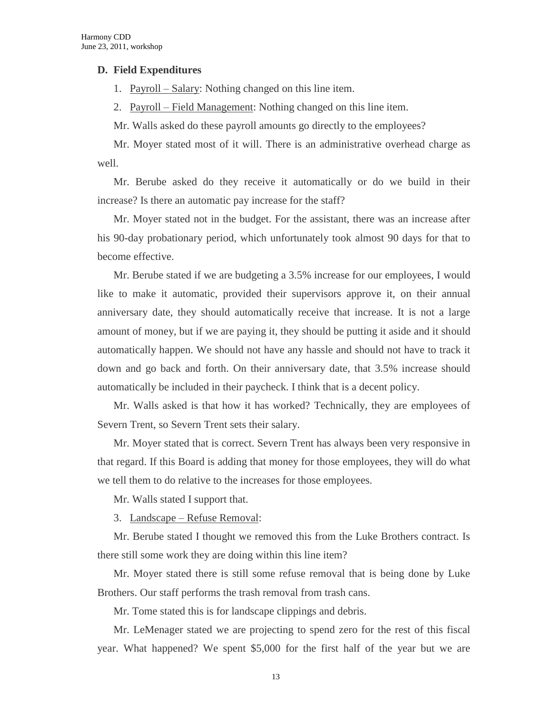#### **D. Field Expenditures**

1. Payroll – Salary: Nothing changed on this line item.

2. Payroll – Field Management: Nothing changed on this line item.

Mr. Walls asked do these payroll amounts go directly to the employees?

Mr. Moyer stated most of it will. There is an administrative overhead charge as well.

Mr. Berube asked do they receive it automatically or do we build in their increase? Is there an automatic pay increase for the staff?

Mr. Moyer stated not in the budget. For the assistant, there was an increase after his 90-day probationary period, which unfortunately took almost 90 days for that to become effective.

Mr. Berube stated if we are budgeting a 3.5% increase for our employees, I would like to make it automatic, provided their supervisors approve it, on their annual anniversary date, they should automatically receive that increase. It is not a large amount of money, but if we are paying it, they should be putting it aside and it should automatically happen. We should not have any hassle and should not have to track it down and go back and forth. On their anniversary date, that 3.5% increase should automatically be included in their paycheck. I think that is a decent policy.

Mr. Walls asked is that how it has worked? Technically, they are employees of Severn Trent, so Severn Trent sets their salary.

Mr. Moyer stated that is correct. Severn Trent has always been very responsive in that regard. If this Board is adding that money for those employees, they will do what we tell them to do relative to the increases for those employees.

Mr. Walls stated I support that.

3. Landscape – Refuse Removal:

Mr. Berube stated I thought we removed this from the Luke Brothers contract. Is there still some work they are doing within this line item?

Mr. Moyer stated there is still some refuse removal that is being done by Luke Brothers. Our staff performs the trash removal from trash cans.

Mr. Tome stated this is for landscape clippings and debris.

Mr. LeMenager stated we are projecting to spend zero for the rest of this fiscal year. What happened? We spent \$5,000 for the first half of the year but we are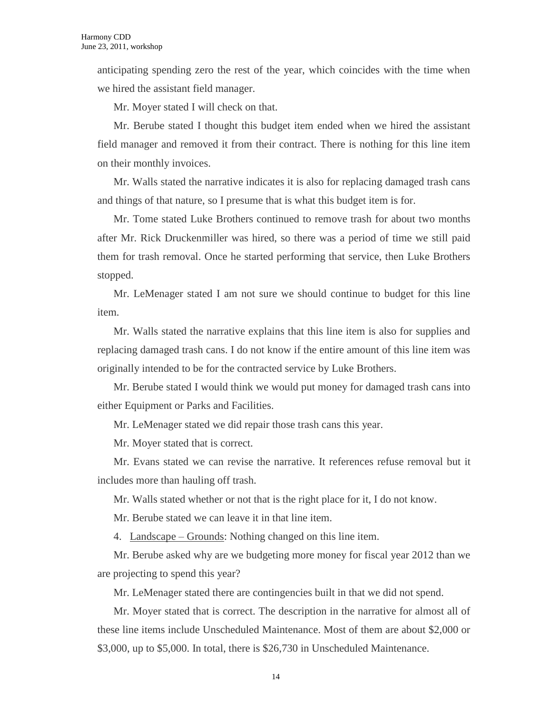anticipating spending zero the rest of the year, which coincides with the time when we hired the assistant field manager.

Mr. Moyer stated I will check on that.

Mr. Berube stated I thought this budget item ended when we hired the assistant field manager and removed it from their contract. There is nothing for this line item on their monthly invoices.

Mr. Walls stated the narrative indicates it is also for replacing damaged trash cans and things of that nature, so I presume that is what this budget item is for.

Mr. Tome stated Luke Brothers continued to remove trash for about two months after Mr. Rick Druckenmiller was hired, so there was a period of time we still paid them for trash removal. Once he started performing that service, then Luke Brothers stopped.

Mr. LeMenager stated I am not sure we should continue to budget for this line item.

Mr. Walls stated the narrative explains that this line item is also for supplies and replacing damaged trash cans. I do not know if the entire amount of this line item was originally intended to be for the contracted service by Luke Brothers.

Mr. Berube stated I would think we would put money for damaged trash cans into either Equipment or Parks and Facilities.

Mr. LeMenager stated we did repair those trash cans this year.

Mr. Moyer stated that is correct.

Mr. Evans stated we can revise the narrative. It references refuse removal but it includes more than hauling off trash.

Mr. Walls stated whether or not that is the right place for it, I do not know.

Mr. Berube stated we can leave it in that line item.

4. Landscape – Grounds: Nothing changed on this line item.

Mr. Berube asked why are we budgeting more money for fiscal year 2012 than we are projecting to spend this year?

Mr. LeMenager stated there are contingencies built in that we did not spend.

Mr. Moyer stated that is correct. The description in the narrative for almost all of these line items include Unscheduled Maintenance. Most of them are about \$2,000 or \$3,000, up to \$5,000. In total, there is \$26,730 in Unscheduled Maintenance.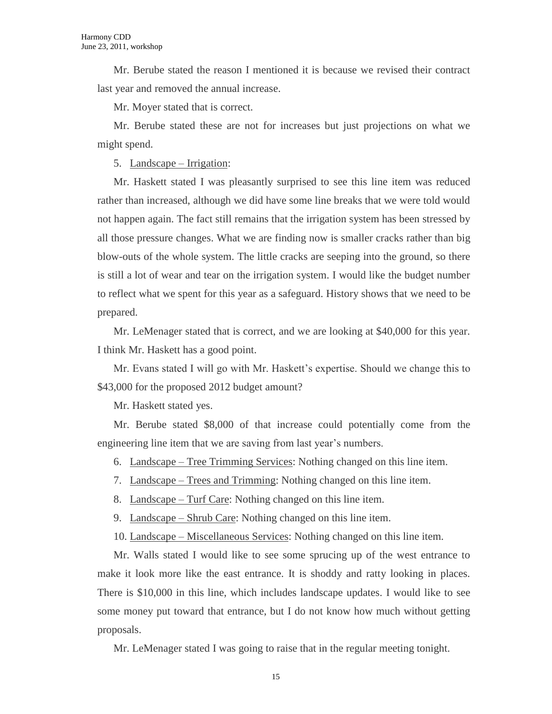Mr. Berube stated the reason I mentioned it is because we revised their contract last year and removed the annual increase.

Mr. Moyer stated that is correct.

Mr. Berube stated these are not for increases but just projections on what we might spend.

5. Landscape – Irrigation:

Mr. Haskett stated I was pleasantly surprised to see this line item was reduced rather than increased, although we did have some line breaks that we were told would not happen again. The fact still remains that the irrigation system has been stressed by all those pressure changes. What we are finding now is smaller cracks rather than big blow-outs of the whole system. The little cracks are seeping into the ground, so there is still a lot of wear and tear on the irrigation system. I would like the budget number to reflect what we spent for this year as a safeguard. History shows that we need to be prepared.

Mr. LeMenager stated that is correct, and we are looking at \$40,000 for this year. I think Mr. Haskett has a good point.

Mr. Evans stated I will go with Mr. Haskett's expertise. Should we change this to \$43,000 for the proposed 2012 budget amount?

Mr. Haskett stated yes.

Mr. Berube stated \$8,000 of that increase could potentially come from the engineering line item that we are saving from last year's numbers.

6. Landscape – Tree Trimming Services: Nothing changed on this line item.

- 7. Landscape Trees and Trimming: Nothing changed on this line item.
- 8. Landscape Turf Care: Nothing changed on this line item.
- 9. Landscape Shrub Care: Nothing changed on this line item.

10. Landscape – Miscellaneous Services: Nothing changed on this line item.

Mr. Walls stated I would like to see some sprucing up of the west entrance to make it look more like the east entrance. It is shoddy and ratty looking in places. There is \$10,000 in this line, which includes landscape updates. I would like to see some money put toward that entrance, but I do not know how much without getting proposals.

Mr. LeMenager stated I was going to raise that in the regular meeting tonight.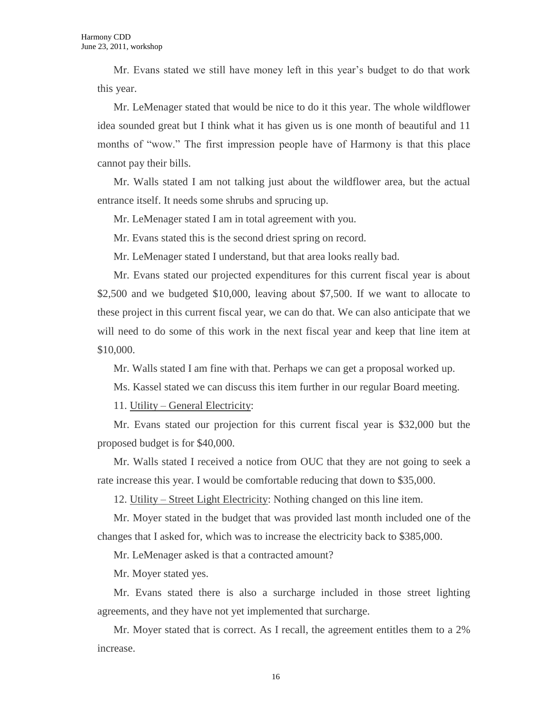Mr. Evans stated we still have money left in this year's budget to do that work this year.

Mr. LeMenager stated that would be nice to do it this year. The whole wildflower idea sounded great but I think what it has given us is one month of beautiful and 11 months of "wow." The first impression people have of Harmony is that this place cannot pay their bills.

Mr. Walls stated I am not talking just about the wildflower area, but the actual entrance itself. It needs some shrubs and sprucing up.

Mr. LeMenager stated I am in total agreement with you.

Mr. Evans stated this is the second driest spring on record.

Mr. LeMenager stated I understand, but that area looks really bad.

Mr. Evans stated our projected expenditures for this current fiscal year is about \$2,500 and we budgeted \$10,000, leaving about \$7,500. If we want to allocate to these project in this current fiscal year, we can do that. We can also anticipate that we will need to do some of this work in the next fiscal year and keep that line item at \$10,000.

Mr. Walls stated I am fine with that. Perhaps we can get a proposal worked up.

Ms. Kassel stated we can discuss this item further in our regular Board meeting.

11. Utility – General Electricity:

Mr. Evans stated our projection for this current fiscal year is \$32,000 but the proposed budget is for \$40,000.

Mr. Walls stated I received a notice from OUC that they are not going to seek a rate increase this year. I would be comfortable reducing that down to \$35,000.

12. Utility – Street Light Electricity: Nothing changed on this line item.

Mr. Moyer stated in the budget that was provided last month included one of the changes that I asked for, which was to increase the electricity back to \$385,000.

Mr. LeMenager asked is that a contracted amount?

Mr. Moyer stated yes.

Mr. Evans stated there is also a surcharge included in those street lighting agreements, and they have not yet implemented that surcharge.

Mr. Moyer stated that is correct. As I recall, the agreement entitles them to a 2% increase.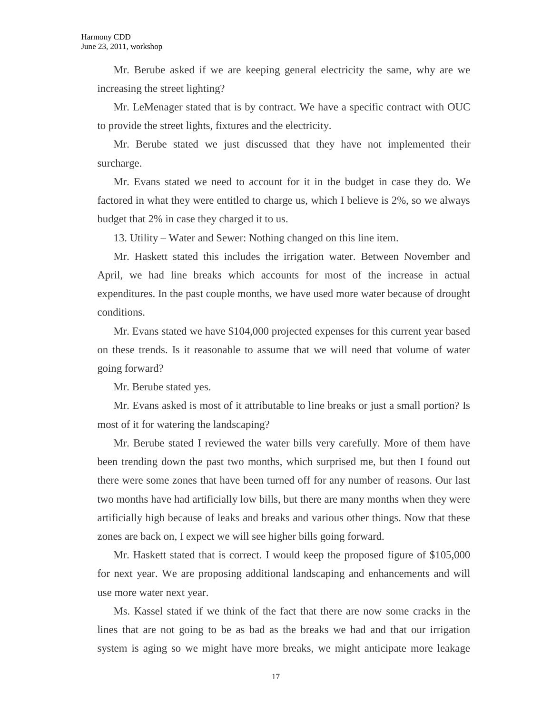Mr. Berube asked if we are keeping general electricity the same, why are we increasing the street lighting?

Mr. LeMenager stated that is by contract. We have a specific contract with OUC to provide the street lights, fixtures and the electricity.

Mr. Berube stated we just discussed that they have not implemented their surcharge.

Mr. Evans stated we need to account for it in the budget in case they do. We factored in what they were entitled to charge us, which I believe is 2%, so we always budget that 2% in case they charged it to us.

13. Utility – Water and Sewer: Nothing changed on this line item.

Mr. Haskett stated this includes the irrigation water. Between November and April, we had line breaks which accounts for most of the increase in actual expenditures. In the past couple months, we have used more water because of drought conditions.

Mr. Evans stated we have \$104,000 projected expenses for this current year based on these trends. Is it reasonable to assume that we will need that volume of water going forward?

Mr. Berube stated yes.

Mr. Evans asked is most of it attributable to line breaks or just a small portion? Is most of it for watering the landscaping?

Mr. Berube stated I reviewed the water bills very carefully. More of them have been trending down the past two months, which surprised me, but then I found out there were some zones that have been turned off for any number of reasons. Our last two months have had artificially low bills, but there are many months when they were artificially high because of leaks and breaks and various other things. Now that these zones are back on, I expect we will see higher bills going forward.

Mr. Haskett stated that is correct. I would keep the proposed figure of \$105,000 for next year. We are proposing additional landscaping and enhancements and will use more water next year.

Ms. Kassel stated if we think of the fact that there are now some cracks in the lines that are not going to be as bad as the breaks we had and that our irrigation system is aging so we might have more breaks, we might anticipate more leakage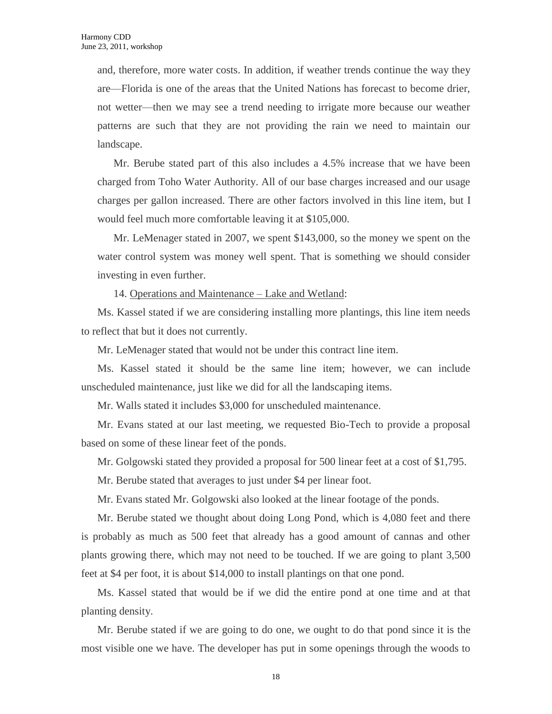and, therefore, more water costs. In addition, if weather trends continue the way they are—Florida is one of the areas that the United Nations has forecast to become drier, not wetter—then we may see a trend needing to irrigate more because our weather patterns are such that they are not providing the rain we need to maintain our landscape.

Mr. Berube stated part of this also includes a 4.5% increase that we have been charged from Toho Water Authority. All of our base charges increased and our usage charges per gallon increased. There are other factors involved in this line item, but I would feel much more comfortable leaving it at \$105,000.

Mr. LeMenager stated in 2007, we spent \$143,000, so the money we spent on the water control system was money well spent. That is something we should consider investing in even further.

14. Operations and Maintenance – Lake and Wetland:

Ms. Kassel stated if we are considering installing more plantings, this line item needs to reflect that but it does not currently.

Mr. LeMenager stated that would not be under this contract line item.

Ms. Kassel stated it should be the same line item; however, we can include unscheduled maintenance, just like we did for all the landscaping items.

Mr. Walls stated it includes \$3,000 for unscheduled maintenance.

Mr. Evans stated at our last meeting, we requested Bio-Tech to provide a proposal based on some of these linear feet of the ponds.

Mr. Golgowski stated they provided a proposal for 500 linear feet at a cost of \$1,795.

Mr. Berube stated that averages to just under \$4 per linear foot.

Mr. Evans stated Mr. Golgowski also looked at the linear footage of the ponds.

Mr. Berube stated we thought about doing Long Pond, which is 4,080 feet and there is probably as much as 500 feet that already has a good amount of cannas and other plants growing there, which may not need to be touched. If we are going to plant 3,500 feet at \$4 per foot, it is about \$14,000 to install plantings on that one pond.

Ms. Kassel stated that would be if we did the entire pond at one time and at that planting density.

Mr. Berube stated if we are going to do one, we ought to do that pond since it is the most visible one we have. The developer has put in some openings through the woods to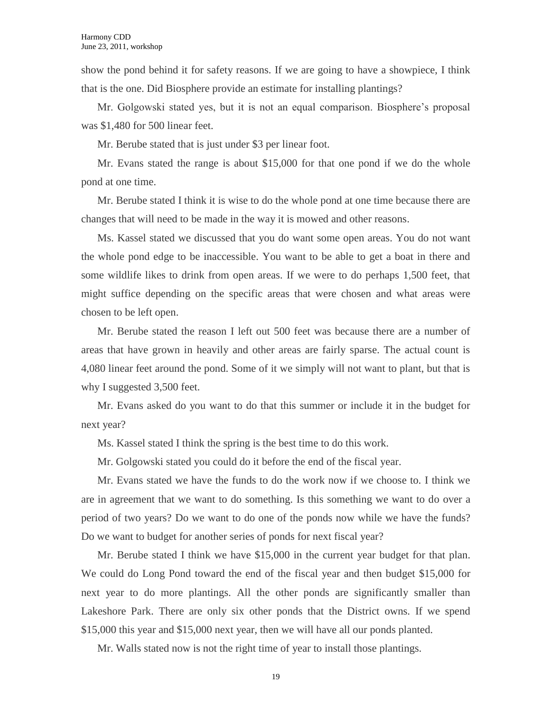show the pond behind it for safety reasons. If we are going to have a showpiece, I think that is the one. Did Biosphere provide an estimate for installing plantings?

Mr. Golgowski stated yes, but it is not an equal comparison. Biosphere's proposal was \$1,480 for 500 linear feet.

Mr. Berube stated that is just under \$3 per linear foot.

Mr. Evans stated the range is about \$15,000 for that one pond if we do the whole pond at one time.

Mr. Berube stated I think it is wise to do the whole pond at one time because there are changes that will need to be made in the way it is mowed and other reasons.

Ms. Kassel stated we discussed that you do want some open areas. You do not want the whole pond edge to be inaccessible. You want to be able to get a boat in there and some wildlife likes to drink from open areas. If we were to do perhaps 1,500 feet, that might suffice depending on the specific areas that were chosen and what areas were chosen to be left open.

Mr. Berube stated the reason I left out 500 feet was because there are a number of areas that have grown in heavily and other areas are fairly sparse. The actual count is 4,080 linear feet around the pond. Some of it we simply will not want to plant, but that is why I suggested 3,500 feet.

Mr. Evans asked do you want to do that this summer or include it in the budget for next year?

Ms. Kassel stated I think the spring is the best time to do this work.

Mr. Golgowski stated you could do it before the end of the fiscal year.

Mr. Evans stated we have the funds to do the work now if we choose to. I think we are in agreement that we want to do something. Is this something we want to do over a period of two years? Do we want to do one of the ponds now while we have the funds? Do we want to budget for another series of ponds for next fiscal year?

Mr. Berube stated I think we have \$15,000 in the current year budget for that plan. We could do Long Pond toward the end of the fiscal year and then budget \$15,000 for next year to do more plantings. All the other ponds are significantly smaller than Lakeshore Park. There are only six other ponds that the District owns. If we spend \$15,000 this year and \$15,000 next year, then we will have all our ponds planted.

Mr. Walls stated now is not the right time of year to install those plantings.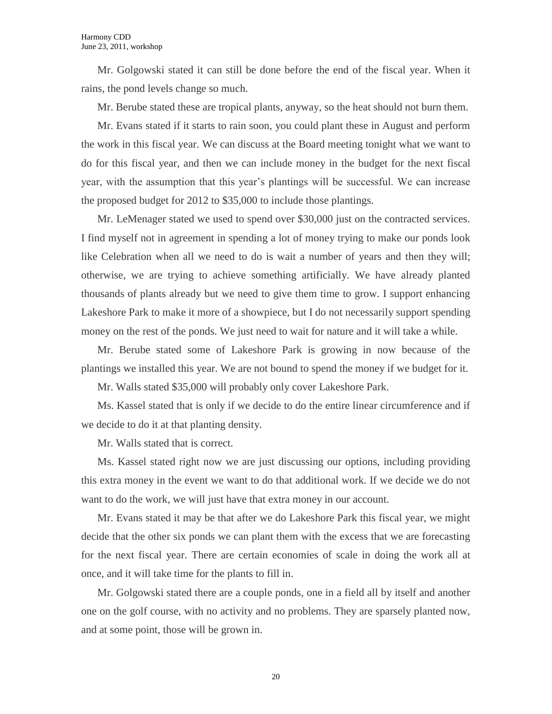Mr. Golgowski stated it can still be done before the end of the fiscal year. When it rains, the pond levels change so much.

Mr. Berube stated these are tropical plants, anyway, so the heat should not burn them.

Mr. Evans stated if it starts to rain soon, you could plant these in August and perform the work in this fiscal year. We can discuss at the Board meeting tonight what we want to do for this fiscal year, and then we can include money in the budget for the next fiscal year, with the assumption that this year's plantings will be successful. We can increase the proposed budget for 2012 to \$35,000 to include those plantings.

Mr. LeMenager stated we used to spend over \$30,000 just on the contracted services. I find myself not in agreement in spending a lot of money trying to make our ponds look like Celebration when all we need to do is wait a number of years and then they will; otherwise, we are trying to achieve something artificially. We have already planted thousands of plants already but we need to give them time to grow. I support enhancing Lakeshore Park to make it more of a showpiece, but I do not necessarily support spending money on the rest of the ponds. We just need to wait for nature and it will take a while.

Mr. Berube stated some of Lakeshore Park is growing in now because of the plantings we installed this year. We are not bound to spend the money if we budget for it.

Mr. Walls stated \$35,000 will probably only cover Lakeshore Park.

Ms. Kassel stated that is only if we decide to do the entire linear circumference and if we decide to do it at that planting density.

Mr. Walls stated that is correct.

Ms. Kassel stated right now we are just discussing our options, including providing this extra money in the event we want to do that additional work. If we decide we do not want to do the work, we will just have that extra money in our account.

Mr. Evans stated it may be that after we do Lakeshore Park this fiscal year, we might decide that the other six ponds we can plant them with the excess that we are forecasting for the next fiscal year. There are certain economies of scale in doing the work all at once, and it will take time for the plants to fill in.

Mr. Golgowski stated there are a couple ponds, one in a field all by itself and another one on the golf course, with no activity and no problems. They are sparsely planted now, and at some point, those will be grown in.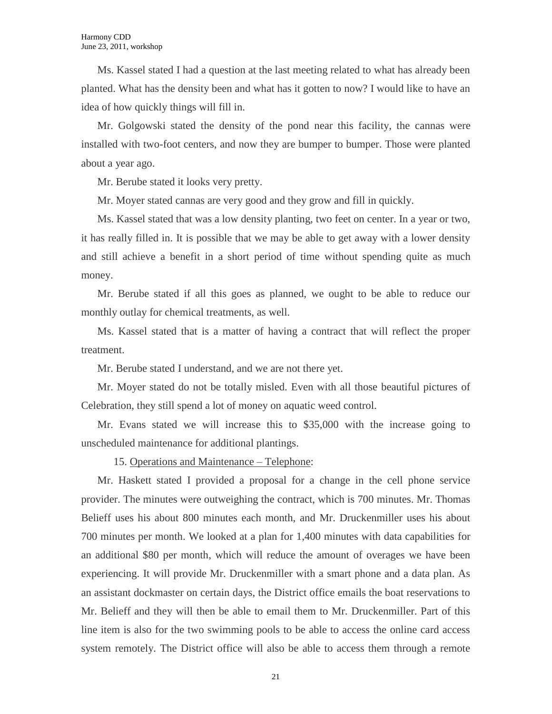Ms. Kassel stated I had a question at the last meeting related to what has already been planted. What has the density been and what has it gotten to now? I would like to have an idea of how quickly things will fill in.

Mr. Golgowski stated the density of the pond near this facility, the cannas were installed with two-foot centers, and now they are bumper to bumper. Those were planted about a year ago.

Mr. Berube stated it looks very pretty.

Mr. Moyer stated cannas are very good and they grow and fill in quickly.

Ms. Kassel stated that was a low density planting, two feet on center. In a year or two, it has really filled in. It is possible that we may be able to get away with a lower density and still achieve a benefit in a short period of time without spending quite as much money.

Mr. Berube stated if all this goes as planned, we ought to be able to reduce our monthly outlay for chemical treatments, as well.

Ms. Kassel stated that is a matter of having a contract that will reflect the proper treatment.

Mr. Berube stated I understand, and we are not there yet.

Mr. Moyer stated do not be totally misled. Even with all those beautiful pictures of Celebration, they still spend a lot of money on aquatic weed control.

Mr. Evans stated we will increase this to \$35,000 with the increase going to unscheduled maintenance for additional plantings.

15. Operations and Maintenance – Telephone:

Mr. Haskett stated I provided a proposal for a change in the cell phone service provider. The minutes were outweighing the contract, which is 700 minutes. Mr. Thomas Belieff uses his about 800 minutes each month, and Mr. Druckenmiller uses his about 700 minutes per month. We looked at a plan for 1,400 minutes with data capabilities for an additional \$80 per month, which will reduce the amount of overages we have been experiencing. It will provide Mr. Druckenmiller with a smart phone and a data plan. As an assistant dockmaster on certain days, the District office emails the boat reservations to Mr. Belieff and they will then be able to email them to Mr. Druckenmiller. Part of this line item is also for the two swimming pools to be able to access the online card access system remotely. The District office will also be able to access them through a remote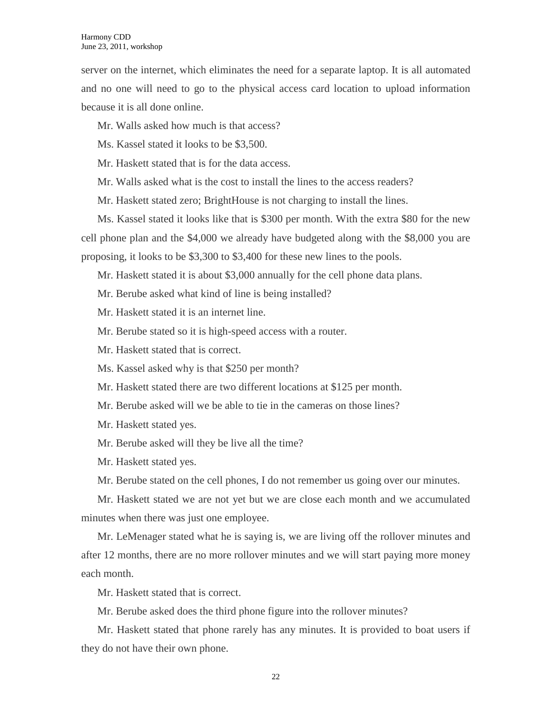server on the internet, which eliminates the need for a separate laptop. It is all automated and no one will need to go to the physical access card location to upload information because it is all done online.

Mr. Walls asked how much is that access?

Ms. Kassel stated it looks to be \$3,500.

Mr. Haskett stated that is for the data access.

Mr. Walls asked what is the cost to install the lines to the access readers?

Mr. Haskett stated zero; BrightHouse is not charging to install the lines.

Ms. Kassel stated it looks like that is \$300 per month. With the extra \$80 for the new cell phone plan and the \$4,000 we already have budgeted along with the \$8,000 you are proposing, it looks to be \$3,300 to \$3,400 for these new lines to the pools.

Mr. Haskett stated it is about \$3,000 annually for the cell phone data plans.

Mr. Berube asked what kind of line is being installed?

Mr. Haskett stated it is an internet line.

Mr. Berube stated so it is high-speed access with a router.

Mr. Haskett stated that is correct.

Ms. Kassel asked why is that \$250 per month?

Mr. Haskett stated there are two different locations at \$125 per month.

Mr. Berube asked will we be able to tie in the cameras on those lines?

Mr. Haskett stated yes.

Mr. Berube asked will they be live all the time?

Mr. Haskett stated yes.

Mr. Berube stated on the cell phones, I do not remember us going over our minutes.

Mr. Haskett stated we are not yet but we are close each month and we accumulated minutes when there was just one employee.

Mr. LeMenager stated what he is saying is, we are living off the rollover minutes and after 12 months, there are no more rollover minutes and we will start paying more money each month.

Mr. Haskett stated that is correct.

Mr. Berube asked does the third phone figure into the rollover minutes?

Mr. Haskett stated that phone rarely has any minutes. It is provided to boat users if they do not have their own phone.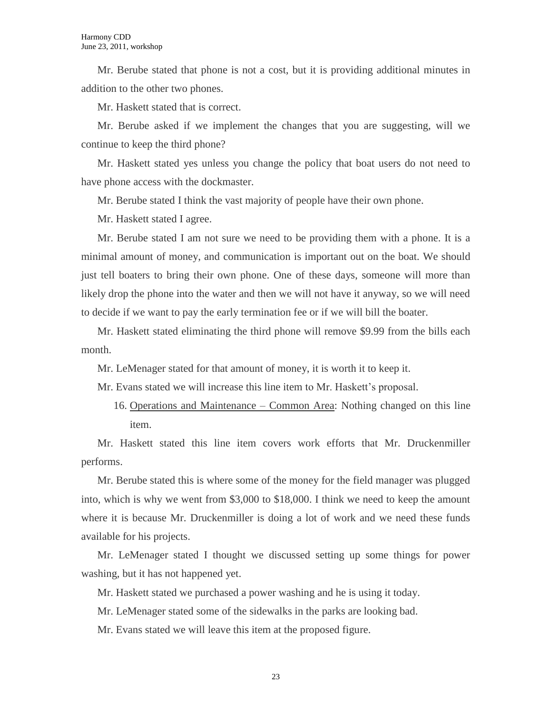Mr. Berube stated that phone is not a cost, but it is providing additional minutes in addition to the other two phones.

Mr. Haskett stated that is correct.

Mr. Berube asked if we implement the changes that you are suggesting, will we continue to keep the third phone?

Mr. Haskett stated yes unless you change the policy that boat users do not need to have phone access with the dockmaster.

Mr. Berube stated I think the vast majority of people have their own phone.

Mr. Haskett stated I agree.

Mr. Berube stated I am not sure we need to be providing them with a phone. It is a minimal amount of money, and communication is important out on the boat. We should just tell boaters to bring their own phone. One of these days, someone will more than likely drop the phone into the water and then we will not have it anyway, so we will need to decide if we want to pay the early termination fee or if we will bill the boater.

Mr. Haskett stated eliminating the third phone will remove \$9.99 from the bills each month.

Mr. LeMenager stated for that amount of money, it is worth it to keep it.

Mr. Evans stated we will increase this line item to Mr. Haskett's proposal.

16. Operations and Maintenance – Common Area: Nothing changed on this line item.

Mr. Haskett stated this line item covers work efforts that Mr. Druckenmiller performs.

Mr. Berube stated this is where some of the money for the field manager was plugged into, which is why we went from \$3,000 to \$18,000. I think we need to keep the amount where it is because Mr. Druckenmiller is doing a lot of work and we need these funds available for his projects.

Mr. LeMenager stated I thought we discussed setting up some things for power washing, but it has not happened yet.

Mr. Haskett stated we purchased a power washing and he is using it today.

Mr. LeMenager stated some of the sidewalks in the parks are looking bad.

Mr. Evans stated we will leave this item at the proposed figure.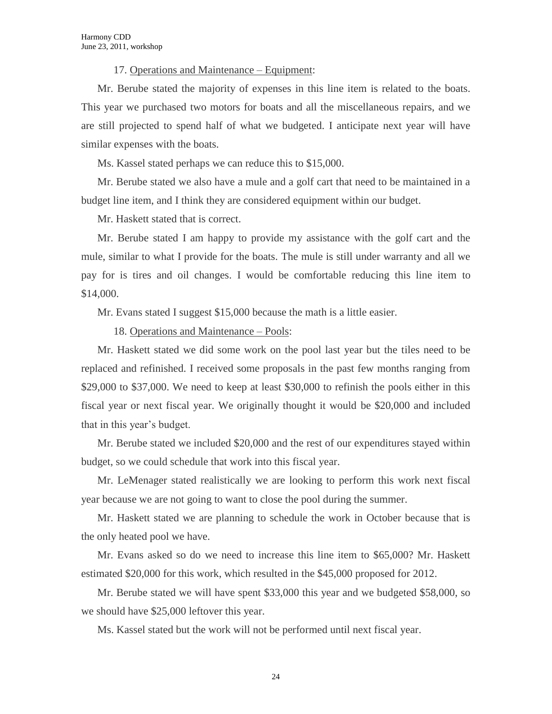17. Operations and Maintenance – Equipment:

Mr. Berube stated the majority of expenses in this line item is related to the boats. This year we purchased two motors for boats and all the miscellaneous repairs, and we are still projected to spend half of what we budgeted. I anticipate next year will have similar expenses with the boats.

Ms. Kassel stated perhaps we can reduce this to \$15,000.

Mr. Berube stated we also have a mule and a golf cart that need to be maintained in a budget line item, and I think they are considered equipment within our budget.

Mr. Haskett stated that is correct.

Mr. Berube stated I am happy to provide my assistance with the golf cart and the mule, similar to what I provide for the boats. The mule is still under warranty and all we pay for is tires and oil changes. I would be comfortable reducing this line item to \$14,000.

Mr. Evans stated I suggest \$15,000 because the math is a little easier.

18. Operations and Maintenance – Pools:

Mr. Haskett stated we did some work on the pool last year but the tiles need to be replaced and refinished. I received some proposals in the past few months ranging from \$29,000 to \$37,000. We need to keep at least \$30,000 to refinish the pools either in this fiscal year or next fiscal year. We originally thought it would be \$20,000 and included that in this year's budget.

Mr. Berube stated we included \$20,000 and the rest of our expenditures stayed within budget, so we could schedule that work into this fiscal year.

Mr. LeMenager stated realistically we are looking to perform this work next fiscal year because we are not going to want to close the pool during the summer.

Mr. Haskett stated we are planning to schedule the work in October because that is the only heated pool we have.

Mr. Evans asked so do we need to increase this line item to \$65,000? Mr. Haskett estimated \$20,000 for this work, which resulted in the \$45,000 proposed for 2012.

Mr. Berube stated we will have spent \$33,000 this year and we budgeted \$58,000, so we should have \$25,000 leftover this year.

Ms. Kassel stated but the work will not be performed until next fiscal year.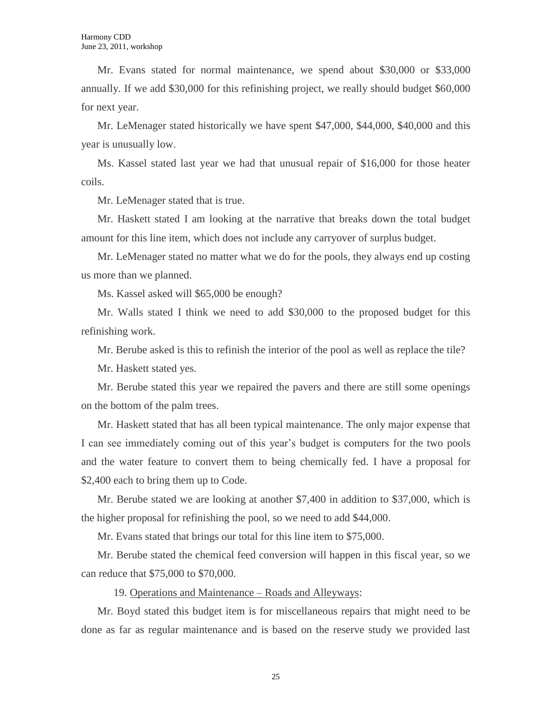Mr. Evans stated for normal maintenance, we spend about \$30,000 or \$33,000 annually. If we add \$30,000 for this refinishing project, we really should budget \$60,000 for next year.

Mr. LeMenager stated historically we have spent \$47,000, \$44,000, \$40,000 and this year is unusually low.

Ms. Kassel stated last year we had that unusual repair of \$16,000 for those heater coils.

Mr. LeMenager stated that is true.

Mr. Haskett stated I am looking at the narrative that breaks down the total budget amount for this line item, which does not include any carryover of surplus budget.

Mr. LeMenager stated no matter what we do for the pools, they always end up costing us more than we planned.

Ms. Kassel asked will \$65,000 be enough?

Mr. Walls stated I think we need to add \$30,000 to the proposed budget for this refinishing work.

Mr. Berube asked is this to refinish the interior of the pool as well as replace the tile?

Mr. Haskett stated yes.

Mr. Berube stated this year we repaired the pavers and there are still some openings on the bottom of the palm trees.

Mr. Haskett stated that has all been typical maintenance. The only major expense that I can see immediately coming out of this year's budget is computers for the two pools and the water feature to convert them to being chemically fed. I have a proposal for \$2,400 each to bring them up to Code.

Mr. Berube stated we are looking at another \$7,400 in addition to \$37,000, which is the higher proposal for refinishing the pool, so we need to add \$44,000.

Mr. Evans stated that brings our total for this line item to \$75,000.

Mr. Berube stated the chemical feed conversion will happen in this fiscal year, so we can reduce that \$75,000 to \$70,000.

19. Operations and Maintenance – Roads and Alleyways:

Mr. Boyd stated this budget item is for miscellaneous repairs that might need to be done as far as regular maintenance and is based on the reserve study we provided last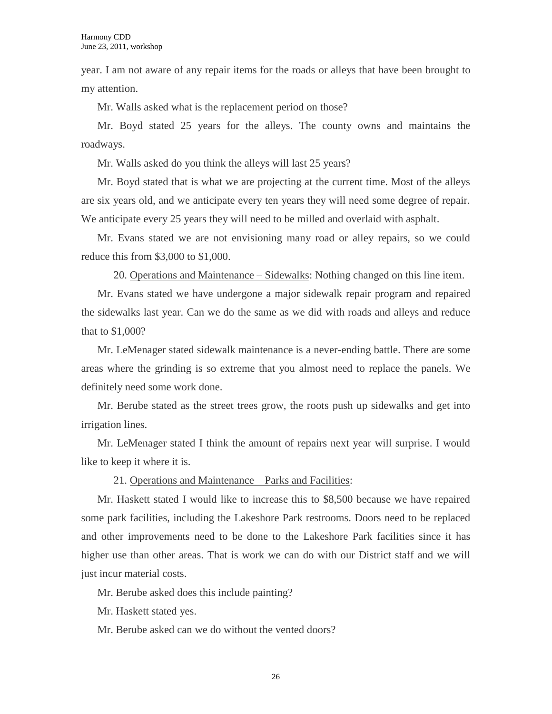year. I am not aware of any repair items for the roads or alleys that have been brought to my attention.

Mr. Walls asked what is the replacement period on those?

Mr. Boyd stated 25 years for the alleys. The county owns and maintains the roadways.

Mr. Walls asked do you think the alleys will last 25 years?

Mr. Boyd stated that is what we are projecting at the current time. Most of the alleys are six years old, and we anticipate every ten years they will need some degree of repair. We anticipate every 25 years they will need to be milled and overlaid with asphalt.

Mr. Evans stated we are not envisioning many road or alley repairs, so we could reduce this from \$3,000 to \$1,000.

20. Operations and Maintenance – Sidewalks: Nothing changed on this line item.

Mr. Evans stated we have undergone a major sidewalk repair program and repaired the sidewalks last year. Can we do the same as we did with roads and alleys and reduce that to \$1,000?

Mr. LeMenager stated sidewalk maintenance is a never-ending battle. There are some areas where the grinding is so extreme that you almost need to replace the panels. We definitely need some work done.

Mr. Berube stated as the street trees grow, the roots push up sidewalks and get into irrigation lines.

Mr. LeMenager stated I think the amount of repairs next year will surprise. I would like to keep it where it is.

21. Operations and Maintenance – Parks and Facilities:

Mr. Haskett stated I would like to increase this to \$8,500 because we have repaired some park facilities, including the Lakeshore Park restrooms. Doors need to be replaced and other improvements need to be done to the Lakeshore Park facilities since it has higher use than other areas. That is work we can do with our District staff and we will just incur material costs.

Mr. Berube asked does this include painting?

Mr. Haskett stated yes.

Mr. Berube asked can we do without the vented doors?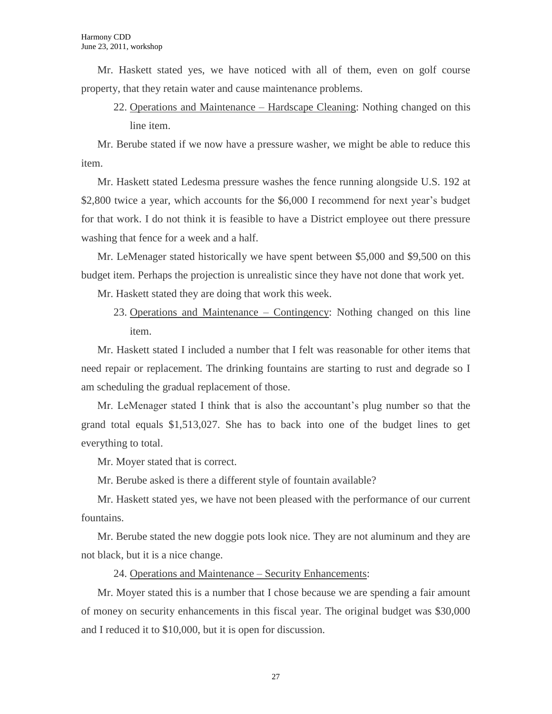Mr. Haskett stated yes, we have noticed with all of them, even on golf course property, that they retain water and cause maintenance problems.

22. Operations and Maintenance – Hardscape Cleaning: Nothing changed on this line item.

Mr. Berube stated if we now have a pressure washer, we might be able to reduce this item.

Mr. Haskett stated Ledesma pressure washes the fence running alongside U.S. 192 at \$2,800 twice a year, which accounts for the \$6,000 I recommend for next year's budget for that work. I do not think it is feasible to have a District employee out there pressure washing that fence for a week and a half.

Mr. LeMenager stated historically we have spent between \$5,000 and \$9,500 on this budget item. Perhaps the projection is unrealistic since they have not done that work yet.

Mr. Haskett stated they are doing that work this week.

23. Operations and Maintenance – Contingency: Nothing changed on this line item.

Mr. Haskett stated I included a number that I felt was reasonable for other items that need repair or replacement. The drinking fountains are starting to rust and degrade so I am scheduling the gradual replacement of those.

Mr. LeMenager stated I think that is also the accountant's plug number so that the grand total equals \$1,513,027. She has to back into one of the budget lines to get everything to total.

Mr. Moyer stated that is correct.

Mr. Berube asked is there a different style of fountain available?

Mr. Haskett stated yes, we have not been pleased with the performance of our current fountains.

Mr. Berube stated the new doggie pots look nice. They are not aluminum and they are not black, but it is a nice change.

24. Operations and Maintenance – Security Enhancements:

Mr. Moyer stated this is a number that I chose because we are spending a fair amount of money on security enhancements in this fiscal year. The original budget was \$30,000 and I reduced it to \$10,000, but it is open for discussion.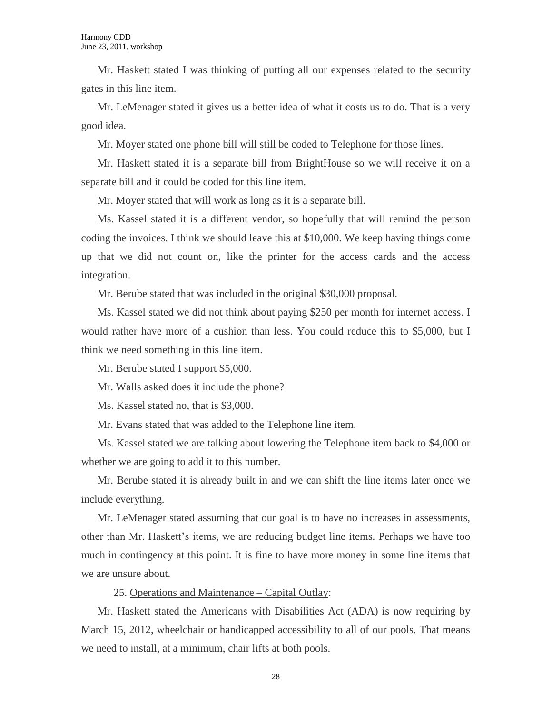Mr. Haskett stated I was thinking of putting all our expenses related to the security gates in this line item.

Mr. LeMenager stated it gives us a better idea of what it costs us to do. That is a very good idea.

Mr. Moyer stated one phone bill will still be coded to Telephone for those lines.

Mr. Haskett stated it is a separate bill from BrightHouse so we will receive it on a separate bill and it could be coded for this line item.

Mr. Moyer stated that will work as long as it is a separate bill.

Ms. Kassel stated it is a different vendor, so hopefully that will remind the person coding the invoices. I think we should leave this at \$10,000. We keep having things come up that we did not count on, like the printer for the access cards and the access integration.

Mr. Berube stated that was included in the original \$30,000 proposal.

Ms. Kassel stated we did not think about paying \$250 per month for internet access. I would rather have more of a cushion than less. You could reduce this to \$5,000, but I think we need something in this line item.

Mr. Berube stated I support \$5,000.

Mr. Walls asked does it include the phone?

Ms. Kassel stated no, that is \$3,000.

Mr. Evans stated that was added to the Telephone line item.

Ms. Kassel stated we are talking about lowering the Telephone item back to \$4,000 or whether we are going to add it to this number.

Mr. Berube stated it is already built in and we can shift the line items later once we include everything.

Mr. LeMenager stated assuming that our goal is to have no increases in assessments, other than Mr. Haskett's items, we are reducing budget line items. Perhaps we have too much in contingency at this point. It is fine to have more money in some line items that we are unsure about.

25. Operations and Maintenance – Capital Outlay:

Mr. Haskett stated the Americans with Disabilities Act (ADA) is now requiring by March 15, 2012, wheelchair or handicapped accessibility to all of our pools. That means we need to install, at a minimum, chair lifts at both pools.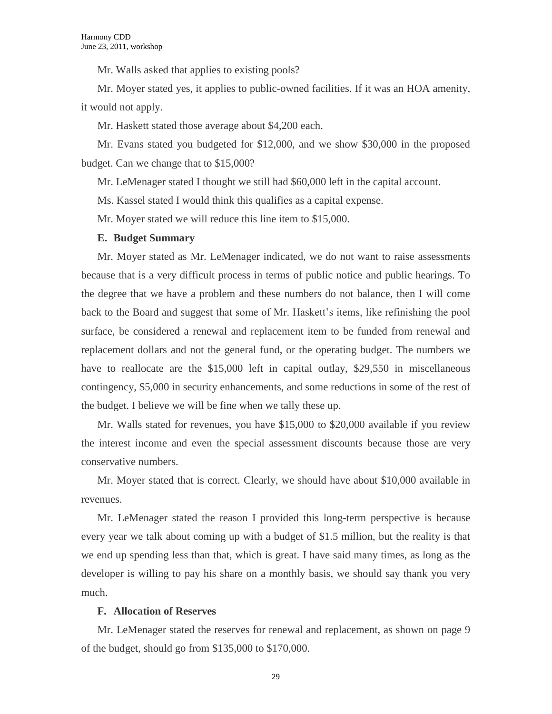Mr. Walls asked that applies to existing pools?

Mr. Moyer stated yes, it applies to public-owned facilities. If it was an HOA amenity, it would not apply.

Mr. Haskett stated those average about \$4,200 each.

Mr. Evans stated you budgeted for \$12,000, and we show \$30,000 in the proposed budget. Can we change that to \$15,000?

Mr. LeMenager stated I thought we still had \$60,000 left in the capital account.

Ms. Kassel stated I would think this qualifies as a capital expense.

Mr. Moyer stated we will reduce this line item to \$15,000.

#### **E. Budget Summary**

Mr. Moyer stated as Mr. LeMenager indicated, we do not want to raise assessments because that is a very difficult process in terms of public notice and public hearings. To the degree that we have a problem and these numbers do not balance, then I will come back to the Board and suggest that some of Mr. Haskett's items, like refinishing the pool surface, be considered a renewal and replacement item to be funded from renewal and replacement dollars and not the general fund, or the operating budget. The numbers we have to reallocate are the \$15,000 left in capital outlay, \$29,550 in miscellaneous contingency, \$5,000 in security enhancements, and some reductions in some of the rest of the budget. I believe we will be fine when we tally these up.

Mr. Walls stated for revenues, you have \$15,000 to \$20,000 available if you review the interest income and even the special assessment discounts because those are very conservative numbers.

Mr. Moyer stated that is correct. Clearly, we should have about \$10,000 available in revenues.

Mr. LeMenager stated the reason I provided this long-term perspective is because every year we talk about coming up with a budget of \$1.5 million, but the reality is that we end up spending less than that, which is great. I have said many times, as long as the developer is willing to pay his share on a monthly basis, we should say thank you very much.

#### **F. Allocation of Reserves**

Mr. LeMenager stated the reserves for renewal and replacement, as shown on page 9 of the budget, should go from \$135,000 to \$170,000.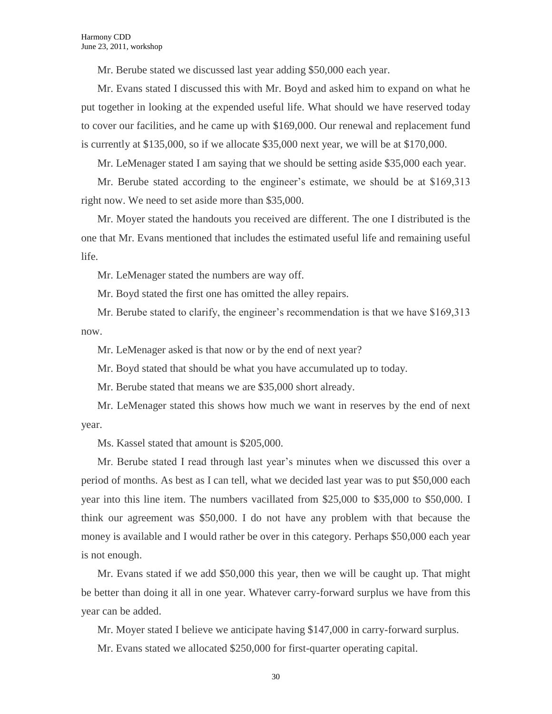Mr. Berube stated we discussed last year adding \$50,000 each year.

Mr. Evans stated I discussed this with Mr. Boyd and asked him to expand on what he put together in looking at the expended useful life. What should we have reserved today to cover our facilities, and he came up with \$169,000. Our renewal and replacement fund is currently at \$135,000, so if we allocate \$35,000 next year, we will be at \$170,000.

Mr. LeMenager stated I am saying that we should be setting aside \$35,000 each year.

Mr. Berube stated according to the engineer's estimate, we should be at \$169,313 right now. We need to set aside more than \$35,000.

Mr. Moyer stated the handouts you received are different. The one I distributed is the one that Mr. Evans mentioned that includes the estimated useful life and remaining useful life.

Mr. LeMenager stated the numbers are way off.

Mr. Boyd stated the first one has omitted the alley repairs.

Mr. Berube stated to clarify, the engineer's recommendation is that we have \$169,313 now.

Mr. LeMenager asked is that now or by the end of next year?

Mr. Boyd stated that should be what you have accumulated up to today.

Mr. Berube stated that means we are \$35,000 short already.

Mr. LeMenager stated this shows how much we want in reserves by the end of next year.

Ms. Kassel stated that amount is \$205,000.

Mr. Berube stated I read through last year's minutes when we discussed this over a period of months. As best as I can tell, what we decided last year was to put \$50,000 each year into this line item. The numbers vacillated from \$25,000 to \$35,000 to \$50,000. I think our agreement was \$50,000. I do not have any problem with that because the money is available and I would rather be over in this category. Perhaps \$50,000 each year is not enough.

Mr. Evans stated if we add \$50,000 this year, then we will be caught up. That might be better than doing it all in one year. Whatever carry-forward surplus we have from this year can be added.

Mr. Moyer stated I believe we anticipate having \$147,000 in carry-forward surplus.

Mr. Evans stated we allocated \$250,000 for first-quarter operating capital.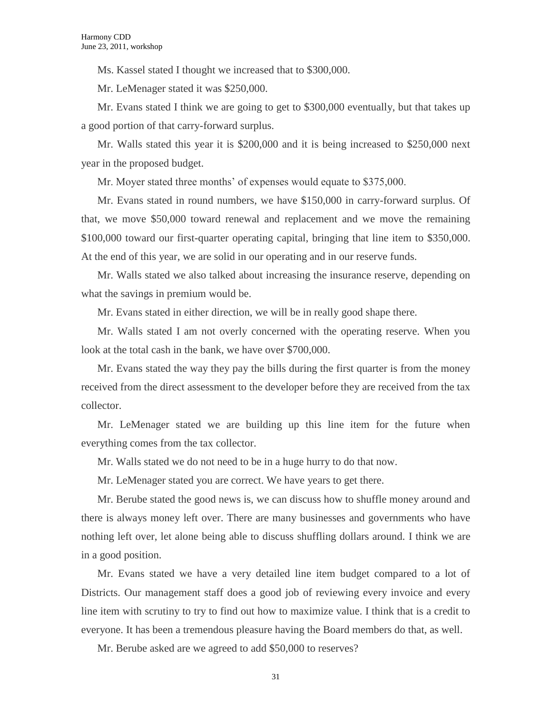Ms. Kassel stated I thought we increased that to \$300,000.

Mr. LeMenager stated it was \$250,000.

Mr. Evans stated I think we are going to get to \$300,000 eventually, but that takes up a good portion of that carry-forward surplus.

Mr. Walls stated this year it is \$200,000 and it is being increased to \$250,000 next year in the proposed budget.

Mr. Moyer stated three months' of expenses would equate to \$375,000.

Mr. Evans stated in round numbers, we have \$150,000 in carry-forward surplus. Of that, we move \$50,000 toward renewal and replacement and we move the remaining \$100,000 toward our first-quarter operating capital, bringing that line item to \$350,000. At the end of this year, we are solid in our operating and in our reserve funds.

Mr. Walls stated we also talked about increasing the insurance reserve, depending on what the savings in premium would be.

Mr. Evans stated in either direction, we will be in really good shape there.

Mr. Walls stated I am not overly concerned with the operating reserve. When you look at the total cash in the bank, we have over \$700,000.

Mr. Evans stated the way they pay the bills during the first quarter is from the money received from the direct assessment to the developer before they are received from the tax collector.

Mr. LeMenager stated we are building up this line item for the future when everything comes from the tax collector.

Mr. Walls stated we do not need to be in a huge hurry to do that now.

Mr. LeMenager stated you are correct. We have years to get there.

Mr. Berube stated the good news is, we can discuss how to shuffle money around and there is always money left over. There are many businesses and governments who have nothing left over, let alone being able to discuss shuffling dollars around. I think we are in a good position.

Mr. Evans stated we have a very detailed line item budget compared to a lot of Districts. Our management staff does a good job of reviewing every invoice and every line item with scrutiny to try to find out how to maximize value. I think that is a credit to everyone. It has been a tremendous pleasure having the Board members do that, as well.

Mr. Berube asked are we agreed to add \$50,000 to reserves?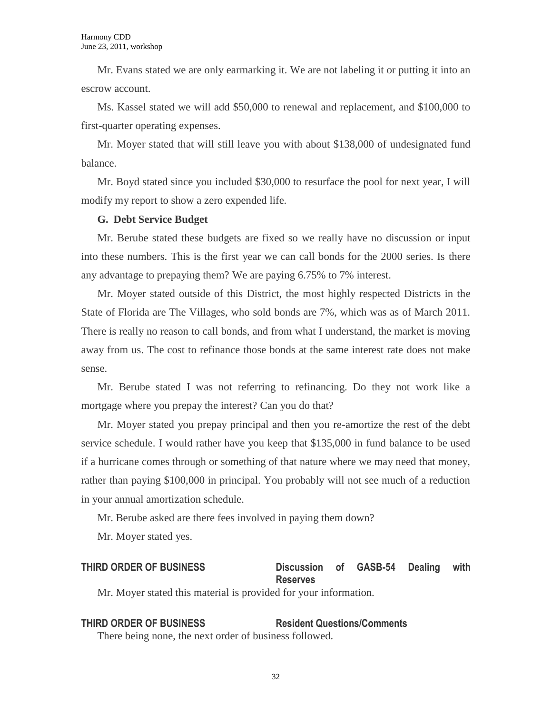Mr. Evans stated we are only earmarking it. We are not labeling it or putting it into an escrow account.

Ms. Kassel stated we will add \$50,000 to renewal and replacement, and \$100,000 to first-quarter operating expenses.

Mr. Moyer stated that will still leave you with about \$138,000 of undesignated fund balance.

Mr. Boyd stated since you included \$30,000 to resurface the pool for next year, I will modify my report to show a zero expended life.

#### **G. Debt Service Budget**

Mr. Berube stated these budgets are fixed so we really have no discussion or input into these numbers. This is the first year we can call bonds for the 2000 series. Is there any advantage to prepaying them? We are paying 6.75% to 7% interest.

Mr. Moyer stated outside of this District, the most highly respected Districts in the State of Florida are The Villages, who sold bonds are 7%, which was as of March 2011. There is really no reason to call bonds, and from what I understand, the market is moving away from us. The cost to refinance those bonds at the same interest rate does not make sense.

Mr. Berube stated I was not referring to refinancing. Do they not work like a mortgage where you prepay the interest? Can you do that?

Mr. Moyer stated you prepay principal and then you re-amortize the rest of the debt service schedule. I would rather have you keep that \$135,000 in fund balance to be used if a hurricane comes through or something of that nature where we may need that money, rather than paying \$100,000 in principal. You probably will not see much of a reduction in your annual amortization schedule.

Mr. Berube asked are there fees involved in paying them down?

Mr. Moyer stated yes.

## **THIRD ORDER OF BUSINESS Discussion of GASB-54 Dealing with Reserves**

Mr. Moyer stated this material is provided for your information.

# **THIRD ORDER OF BUSINESS Resident Questions/Comments**

There being none, the next order of business followed.